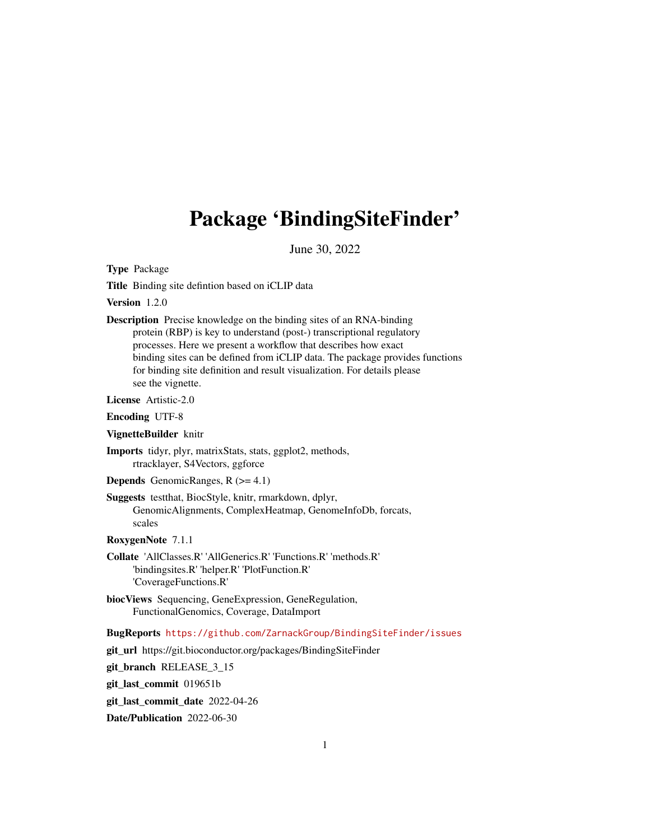# Package 'BindingSiteFinder'

June 30, 2022

Type Package

Title Binding site defintion based on iCLIP data

Version 1.2.0

Description Precise knowledge on the binding sites of an RNA-binding protein (RBP) is key to understand (post-) transcriptional regulatory processes. Here we present a workflow that describes how exact binding sites can be defined from iCLIP data. The package provides functions for binding site definition and result visualization. For details please see the vignette.

License Artistic-2.0

Encoding UTF-8

VignetteBuilder knitr

Imports tidyr, plyr, matrixStats, stats, ggplot2, methods, rtracklayer, S4Vectors, ggforce

**Depends** GenomicRanges,  $R$  ( $>= 4.1$ )

Suggests testthat, BiocStyle, knitr, rmarkdown, dplyr, GenomicAlignments, ComplexHeatmap, GenomeInfoDb, forcats, scales

RoxygenNote 7.1.1

- Collate 'AllClasses.R' 'AllGenerics.R' 'Functions.R' 'methods.R' 'bindingsites.R' 'helper.R' 'PlotFunction.R' 'CoverageFunctions.R'
- biocViews Sequencing, GeneExpression, GeneRegulation, FunctionalGenomics, Coverage, DataImport

BugReports <https://github.com/ZarnackGroup/BindingSiteFinder/issues>

git\_url https://git.bioconductor.org/packages/BindingSiteFinder

git\_branch RELEASE\_3\_15

git\_last\_commit 019651b

git last commit date 2022-04-26

Date/Publication 2022-06-30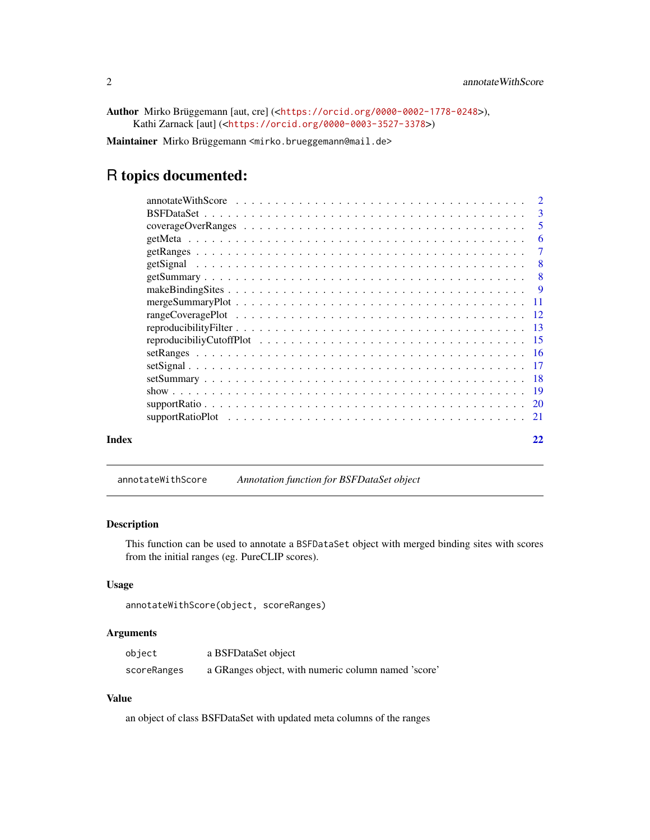<span id="page-1-0"></span>Author Mirko Brüggemann [aut, cre] (<<https://orcid.org/0000-0002-1778-0248>>), Kathi Zarnack [aut] (<<https://orcid.org/0000-0003-3527-3378>>)

Maintainer Mirko Brüggemann <mirko.brueggemann@mail.de>

# R topics documented:

|       | $\overline{2}$ |
|-------|----------------|
|       | - 3            |
|       | 5              |
|       | -6             |
|       | -7             |
|       | - 8            |
|       | - 8            |
|       | - 9            |
|       |                |
|       |                |
|       |                |
|       |                |
|       |                |
|       |                |
|       |                |
|       |                |
|       |                |
|       |                |
| Index | 22             |

annotateWithScore *Annotation function for BSFDataSet object*

# Description

This function can be used to annotate a BSFDataSet object with merged binding sites with scores from the initial ranges (eg. PureCLIP scores).

#### Usage

```
annotateWithScore(object, scoreRanges)
```
#### Arguments

| object      | a BSFDataSet object                                 |
|-------------|-----------------------------------------------------|
| scoreRanges | a GRanges object, with numeric column named 'score' |

# Value

an object of class BSFDataSet with updated meta columns of the ranges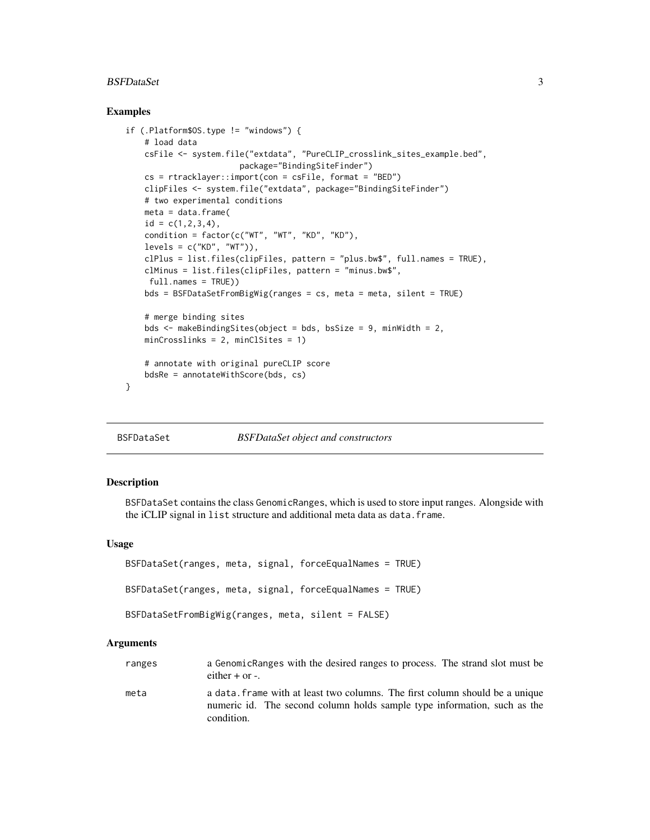#### <span id="page-2-0"></span>BSFDataSet 3

#### Examples

```
if (.Platform$OS.type != "windows") {
   # load data
   csFile <- system.file("extdata", "PureCLIP_crosslink_sites_example.bed",
                       package="BindingSiteFinder")
   cs = rtracklayer::import(con = csFile, format = "BED")
   clipFiles <- system.file("extdata", package="BindingSiteFinder")
   # two experimental conditions
   meta = data.frame(id = c(1, 2, 3, 4),condition = factor(c("WT", "WT", "KD", "KD"),
   levels = c("KD", "WT")),
   clPlus = list.files(clipFiles, pattern = "plus.bw$", full.names = TRUE),
   clMinus = list.files(clipFiles, pattern = "minus.bw$",
    full.names = TRUE))
   bds = BSFDataSetFromBigWig(ranges = cs, meta = meta, silent = TRUE)
   # merge binding sites
   bds <- makeBindingSites(object = bds, bsSize = 9, minWidth = 2,
   minCrosslinks = 2, minClSites = 1)
    # annotate with original pureCLIP score
   bdsRe = annotateWithScore(bds, cs)
}
```
<span id="page-2-1"></span>BSFDataSet *BSFDataSet object and constructors*

#### Description

BSFDataSet contains the class GenomicRanges, which is used to store input ranges. Alongside with the iCLIP signal in list structure and additional meta data as data.frame.

#### Usage

```
BSFDataSet(ranges, meta, signal, forceEqualNames = TRUE)
BSFDataSet(ranges, meta, signal, forceEqualNames = TRUE)
BSFDataSetFromBigWig(ranges, meta, silent = FALSE)
```
#### Arguments

| ranges | a GenomicRanges with the desired ranges to process. The strand slot must be<br>either $+$ or $-$ .                                                                     |
|--------|------------------------------------------------------------------------------------------------------------------------------------------------------------------------|
| meta   | a data, frame with at least two columns. The first column should be a unique<br>numeric id. The second column holds sample type information, such as the<br>condition. |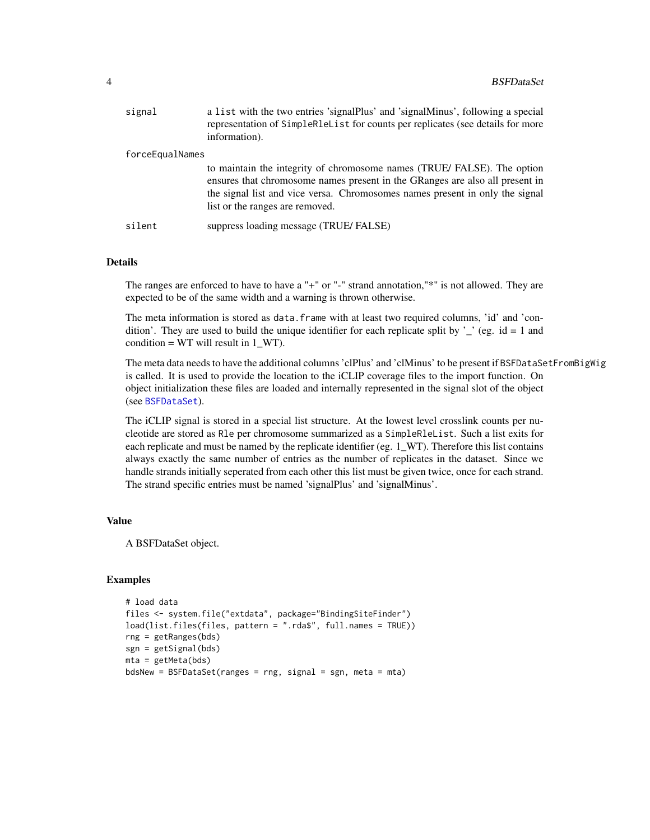<span id="page-3-0"></span>

| signal          | a list with the two entries 'signalPlus' and 'signalMinus', following a special<br>representation of SimpleR1eList for counts per replicates (see details for more<br>information).                                                                                       |
|-----------------|---------------------------------------------------------------------------------------------------------------------------------------------------------------------------------------------------------------------------------------------------------------------------|
| forceEqualNames |                                                                                                                                                                                                                                                                           |
|                 | to maintain the integrity of chromosome names (TRUE/FALSE). The option<br>ensures that chromosome names present in the GRanges are also all present in<br>the signal list and vice versa. Chromosomes names present in only the signal<br>list or the ranges are removed. |
| silent          | suppress loading message (TRUE/FALSE)                                                                                                                                                                                                                                     |

#### Details

The ranges are enforced to have to have a "+" or "-" strand annotation,"\*" is not allowed. They are expected to be of the same width and a warning is thrown otherwise.

The meta information is stored as data. frame with at least two required columns, 'id' and 'condition'. They are used to build the unique identifier for each replicate split by '\_' (eg. id = 1 and condition = WT will result in  $1_WT$ .

The meta data needs to have the additional columns 'clPlus' and 'clMinus' to be present if BSFDataSetFromBigWig is called. It is used to provide the location to the iCLIP coverage files to the import function. On object initialization these files are loaded and internally represented in the signal slot of the object (see [BSFDataSet](#page-2-1)).

The iCLIP signal is stored in a special list structure. At the lowest level crosslink counts per nucleotide are stored as Rle per chromosome summarized as a SimpleRleList. Such a list exits for each replicate and must be named by the replicate identifier (eg. 1\_WT). Therefore this list contains always exactly the same number of entries as the number of replicates in the dataset. Since we handle strands initially seperated from each other this list must be given twice, once for each strand. The strand specific entries must be named 'signalPlus' and 'signalMinus'.

#### Value

A BSFDataSet object.

#### Examples

```
# load data
files <- system.file("extdata", package="BindingSiteFinder")
load(list.files(files, pattern = ".rda$", full.names = TRUE))
rng = getRanges(bds)
sgn = getSignal(bds)
mta = getMeta(bds)
bdsNew = BSFDataSet(ranges = rng, signal = sgn, meta = mta)
```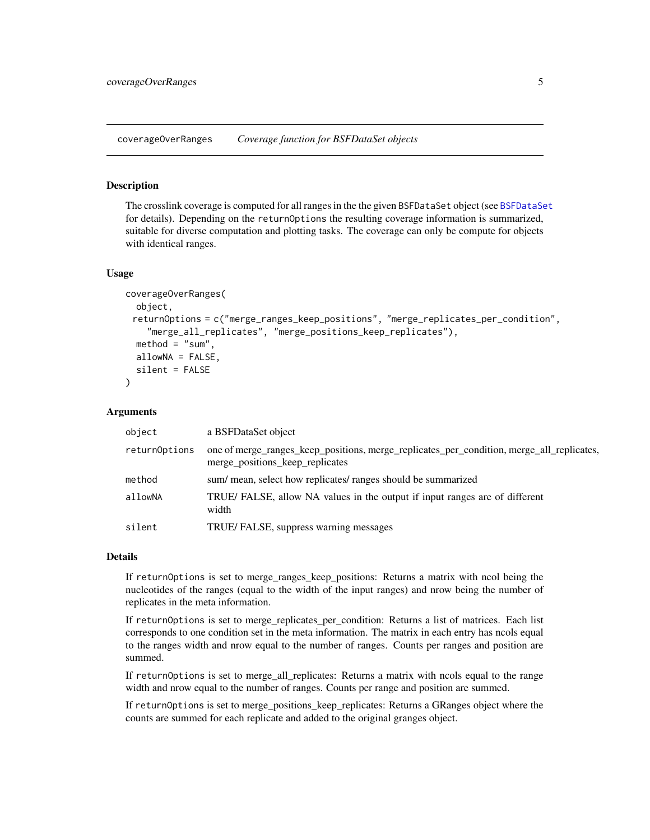<span id="page-4-1"></span><span id="page-4-0"></span>coverageOverRanges *Coverage function for BSFDataSet objects*

#### Description

The crosslink coverage is computed for all ranges in the the given BSFDataSet object (see [BSFDataSet](#page-2-1) for details). Depending on the returnOptions the resulting coverage information is summarized, suitable for diverse computation and plotting tasks. The coverage can only be compute for objects with identical ranges.

#### Usage

```
coverageOverRanges(
  object,
 returnOptions = c("merge_ranges_keep_positions", "merge_replicates_per_condition",
    "merge_all_replicates", "merge_positions_keep_replicates"),
  method = "sum",allowNA = FALSE,
  silent = FALSE
)
```
#### Arguments

| object        | a BSFDataSet object                                                                                                          |
|---------------|------------------------------------------------------------------------------------------------------------------------------|
| returnOptions | one of merge_ranges_keep_positions, merge_replicates_per_condition, merge_all_replicates,<br>merge_positions_keep_replicates |
| method        | sum/ mean, select how replicates/ ranges should be summarized                                                                |
| allowNA       | TRUE/FALSE, allow NA values in the output if input ranges are of different<br>width                                          |
| silent        | TRUE/FALSE, suppress warning messages                                                                                        |

#### Details

If returnOptions is set to merge\_ranges\_keep\_positions: Returns a matrix with ncol being the nucleotides of the ranges (equal to the width of the input ranges) and nrow being the number of replicates in the meta information.

If returnOptions is set to merge\_replicates\_per\_condition: Returns a list of matrices. Each list corresponds to one condition set in the meta information. The matrix in each entry has ncols equal to the ranges width and nrow equal to the number of ranges. Counts per ranges and position are summed.

If returnOptions is set to merge\_all\_replicates: Returns a matrix with ncols equal to the range width and nrow equal to the number of ranges. Counts per range and position are summed.

If returnOptions is set to merge\_positions\_keep\_replicates: Returns a GRanges object where the counts are summed for each replicate and added to the original granges object.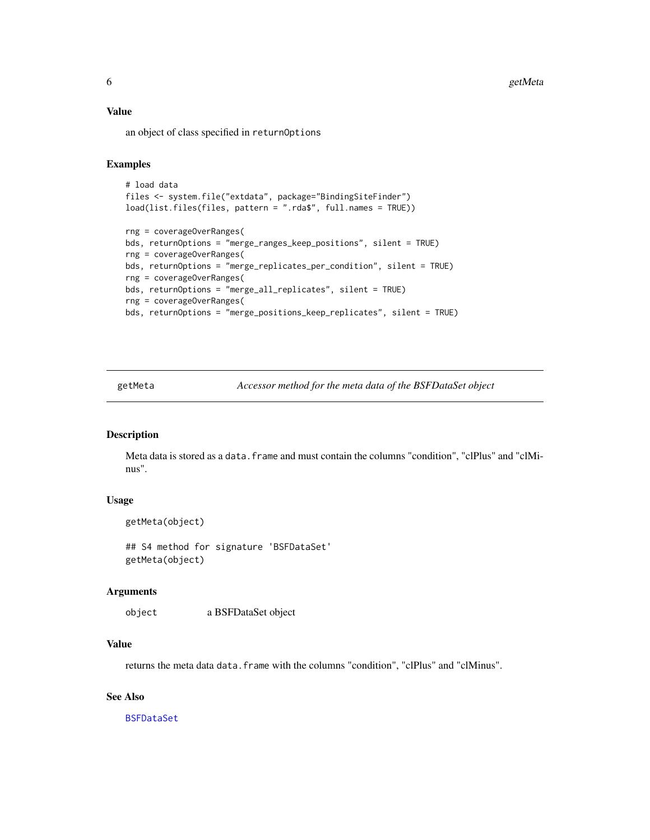# <span id="page-5-0"></span>Value

an object of class specified in returnOptions

# **Examples**

```
# load data
files <- system.file("extdata", package="BindingSiteFinder")
load(list.files(files, pattern = ".rda$", full.names = TRUE))
rng = coverageOverRanges(
bds, returnOptions = "merge_ranges_keep_positions", silent = TRUE)
rng = coverageOverRanges(
bds, returnOptions = "merge_replicates_per_condition", silent = TRUE)
rng = coverageOverRanges(
bds, returnOptions = "merge_all_replicates", silent = TRUE)
rng = coverageOverRanges(
bds, returnOptions = "merge_positions_keep_replicates", silent = TRUE)
```
<span id="page-5-1"></span>getMeta *Accessor method for the meta data of the BSFDataSet object*

## Description

Meta data is stored as a data. frame and must contain the columns "condition", "clPlus" and "clMinus".

### Usage

getMeta(object)

## S4 method for signature 'BSFDataSet' getMeta(object)

#### Arguments

object a BSFDataSet object

#### Value

returns the meta data data.frame with the columns "condition", "clPlus" and "clMinus".

#### See Also

[BSFDataSet](#page-2-1)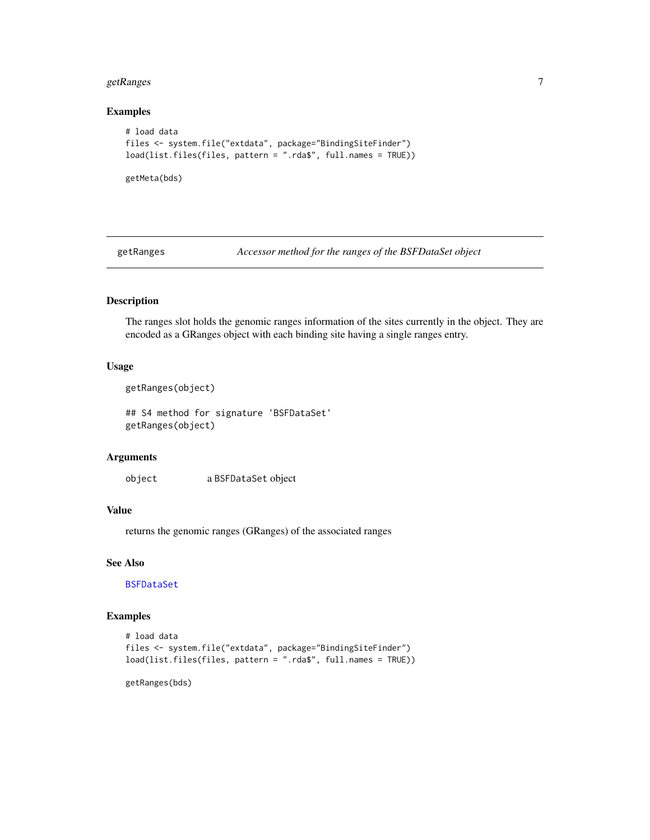# <span id="page-6-0"></span>getRanges 7

#### Examples

```
# load data
files <- system.file("extdata", package="BindingSiteFinder")
load(list.files(files, pattern = ".rda$", full.names = TRUE))
```
getMeta(bds)

<span id="page-6-1"></span>getRanges *Accessor method for the ranges of the BSFDataSet object*

# Description

The ranges slot holds the genomic ranges information of the sites currently in the object. They are encoded as a GRanges object with each binding site having a single ranges entry.

# Usage

```
getRanges(object)
```
## S4 method for signature 'BSFDataSet' getRanges(object)

# Arguments

object a BSFDataSet object

# Value

returns the genomic ranges (GRanges) of the associated ranges

#### See Also

[BSFDataSet](#page-2-1)

#### Examples

```
# load data
files <- system.file("extdata", package="BindingSiteFinder")
load(list.files(files, pattern = ".rda$", full.names = TRUE))
```
getRanges(bds)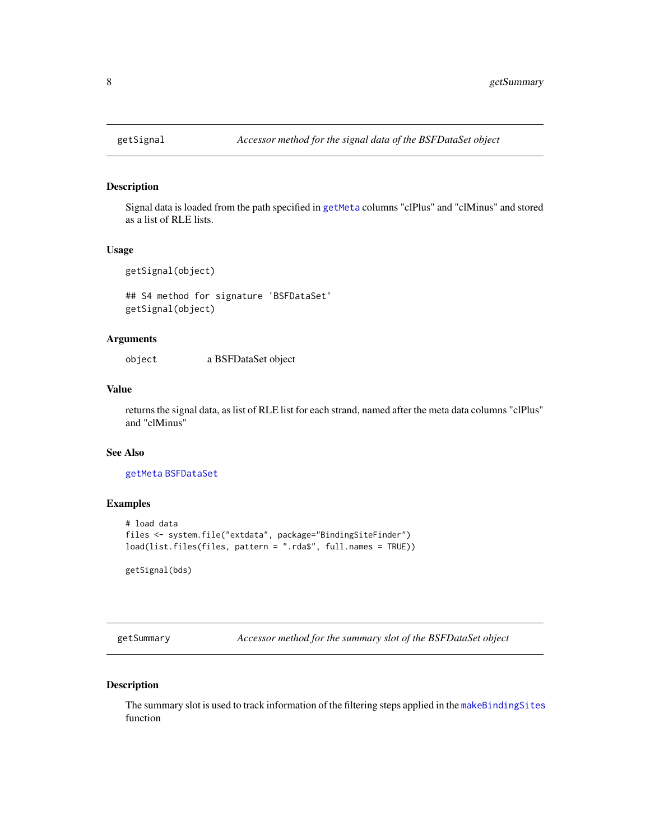# Description

Signal data is loaded from the path specified in [getMeta](#page-5-1) columns "clPlus" and "clMinus" and stored as a list of RLE lists.

# Usage

```
getSignal(object)
```
## S4 method for signature 'BSFDataSet' getSignal(object)

# Arguments

object a BSFDataSet object

#### Value

returns the signal data, as list of RLE list for each strand, named after the meta data columns "clPlus" and "clMinus"

#### See Also

[getMeta](#page-5-1) [BSFDataSet](#page-2-1)

#### Examples

```
# load data
files <- system.file("extdata", package="BindingSiteFinder")
load(list.files(files, pattern = ".rda$", full.names = TRUE))
```
getSignal(bds)

getSummary *Accessor method for the summary slot of the BSFDataSet object*

# Description

The summary slot is used to track information of the filtering steps applied in the [makeBindingSites](#page-8-1) function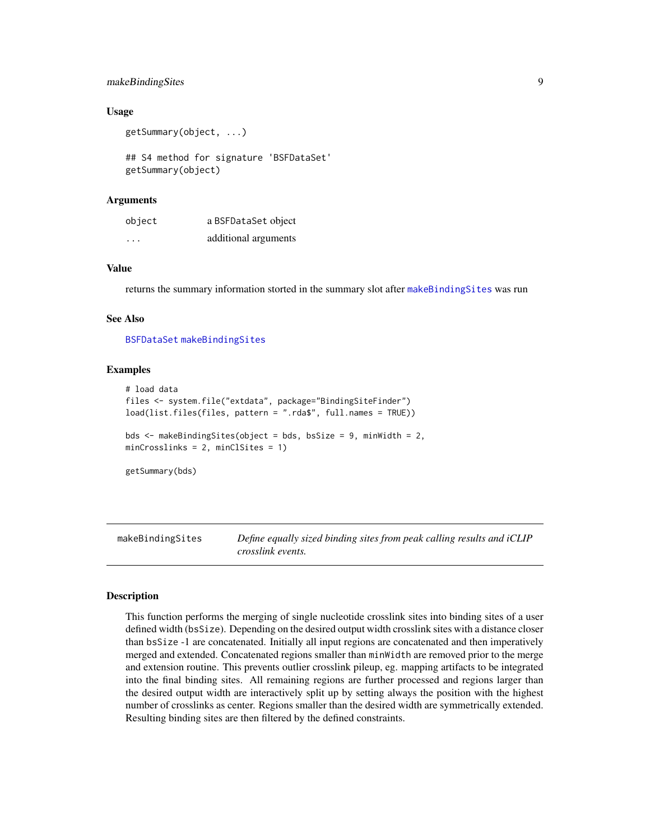# <span id="page-8-0"></span>makeBindingSites 9

#### Usage

```
getSummary(object, ...)
```
## S4 method for signature 'BSFDataSet' getSummary(object)

#### Arguments

| object  | a BSFDataSet object  |
|---------|----------------------|
| $\cdot$ | additional arguments |

#### Value

returns the summary information storted in the summary slot after [makeBindingSites](#page-8-1) was run

#### See Also

[BSFDataSet](#page-2-1) [makeBindingSites](#page-8-1)

#### Examples

```
# load data
files <- system.file("extdata", package="BindingSiteFinder")
load(list.files(files, pattern = ".rda$", full.names = TRUE))
bds <- makeBindingSites(object = bds, bsSize = 9, minWidth = 2,
minCrosslinks = 2, minClSites = 1)
getSummary(bds)
```
<span id="page-8-1"></span>makeBindingSites *Define equally sized binding sites from peak calling results and iCLIP crosslink events.*

#### **Description**

This function performs the merging of single nucleotide crosslink sites into binding sites of a user defined width (bsSize). Depending on the desired output width crosslink sites with a distance closer than bsSize -1 are concatenated. Initially all input regions are concatenated and then imperatively merged and extended. Concatenated regions smaller than minWidth are removed prior to the merge and extension routine. This prevents outlier crosslink pileup, eg. mapping artifacts to be integrated into the final binding sites. All remaining regions are further processed and regions larger than the desired output width are interactively split up by setting always the position with the highest number of crosslinks as center. Regions smaller than the desired width are symmetrically extended. Resulting binding sites are then filtered by the defined constraints.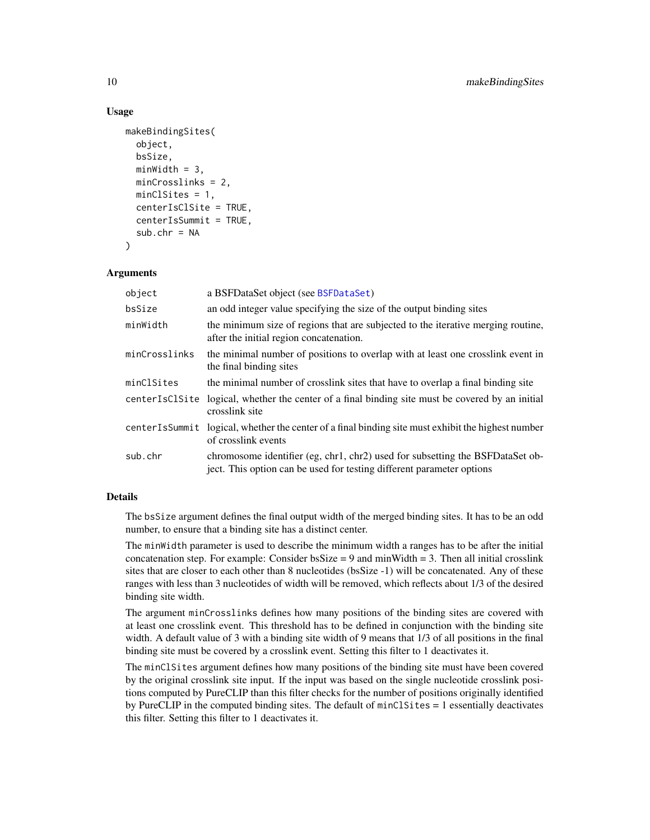#### Usage

```
makeBindingSites(
  object,
  bsSize,
 minWidth = 3,minCrosslinks = 2,
 minClSites = 1,
  centerIsClSite = TRUE,
  centerIsSummit = TRUE,
  sub.chr = NA)
```
#### Arguments

| object         | a BSFDataSet object (see BSFDataSet)                                                                                                                   |
|----------------|--------------------------------------------------------------------------------------------------------------------------------------------------------|
| bsSize         | an odd integer value specifying the size of the output binding sites                                                                                   |
| minWidth       | the minimum size of regions that are subjected to the iterative merging routine,<br>after the initial region concatenation.                            |
| minCrosslinks  | the minimal number of positions to overlap with at least one crosslink event in<br>the final binding sites                                             |
| minClSites     | the minimal number of crosslink sites that have to overlap a final binding site                                                                        |
| centerIsClSite | logical, whether the center of a final binding site must be covered by an initial<br>crosslink site                                                    |
|                | center Is Summit logical, whether the center of a final binding site must exhibit the highest number<br>of crosslink events                            |
| sub.chr        | chromosome identifier (eg, chr1, chr2) used for subsetting the BSFDataSet ob-<br>ject. This option can be used for testing different parameter options |

# Details

The bsSize argument defines the final output width of the merged binding sites. It has to be an odd number, to ensure that a binding site has a distinct center.

The minWidth parameter is used to describe the minimum width a ranges has to be after the initial concatenation step. For example: Consider  $bsSize = 9$  and minWidth = 3. Then all initial crosslink sites that are closer to each other than 8 nucleotides (bsSize -1) will be concatenated. Any of these ranges with less than 3 nucleotides of width will be removed, which reflects about 1/3 of the desired binding site width.

The argument minCrosslinks defines how many positions of the binding sites are covered with at least one crosslink event. This threshold has to be defined in conjunction with the binding site width. A default value of 3 with a binding site width of 9 means that 1/3 of all positions in the final binding site must be covered by a crosslink event. Setting this filter to 1 deactivates it.

The minClSites argument defines how many positions of the binding site must have been covered by the original crosslink site input. If the input was based on the single nucleotide crosslink positions computed by PureCLIP than this filter checks for the number of positions originally identified by PureCLIP in the computed binding sites. The default of minClSites = 1 essentially deactivates this filter. Setting this filter to 1 deactivates it.

<span id="page-9-0"></span>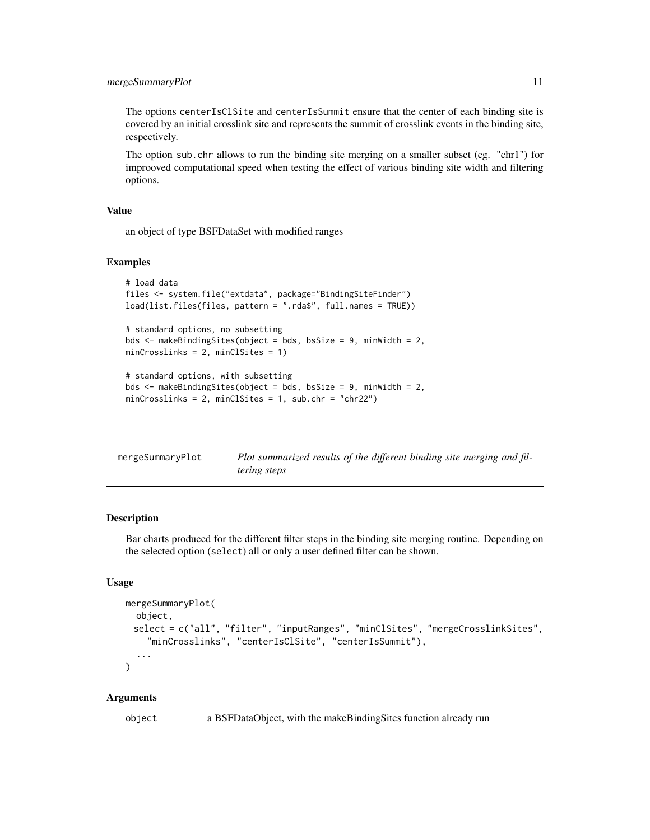# <span id="page-10-0"></span>mergeSummaryPlot 11

The options centerIsClSite and centerIsSummit ensure that the center of each binding site is covered by an initial crosslink site and represents the summit of crosslink events in the binding site, respectively.

The option sub.chr allows to run the binding site merging on a smaller subset (eg. "chr1") for improoved computational speed when testing the effect of various binding site width and filtering options.

# Value

an object of type BSFDataSet with modified ranges

#### Examples

```
# load data
files <- system.file("extdata", package="BindingSiteFinder")
load(list.files(files, pattern = ".rda$", full.names = TRUE))
# standard options, no subsetting
bds <- makeBindingSites(object = bds, bsSize = 9, minWidth = 2,
minCrosslinks = 2, minClSites = 1)
# standard options, with subsetting
bds <- makeBindingSites(object = bds, bsSize = 9, minWidth = 2,
minCrosslinks = 2, minClSites = 1, sub.chr = "chr22")
```

| mergeSummaryPlot | Plot summarized results of the different binding site merging and fil- |
|------------------|------------------------------------------------------------------------|
|                  | <i>tering steps</i>                                                    |

# Description

Bar charts produced for the different filter steps in the binding site merging routine. Depending on the selected option (select) all or only a user defined filter can be shown.

#### Usage

```
mergeSummaryPlot(
  object,
 select = c("all", "filter", "inputRanges", "minClSites", "mergeCrosslinkSites",
    "minCrosslinks", "centerIsClSite", "centerIsSummit"),
  ...
\lambda
```
## Arguments

object a BSFDataObject, with the makeBindingSites function already run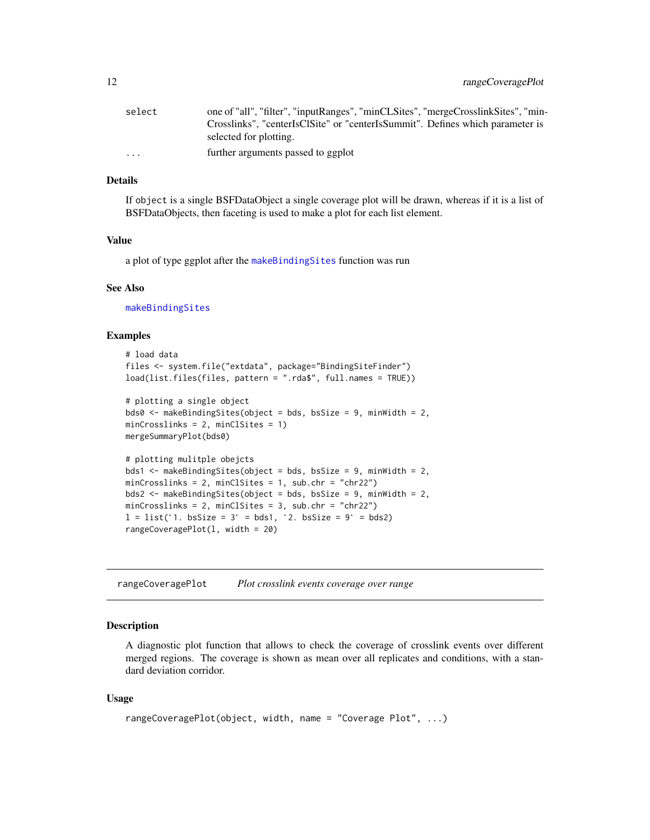<span id="page-11-0"></span>

| select                  | one of "all", "filter", "inputRanges", "minCLSites", "mergeCrosslinkSites", "min- |
|-------------------------|-----------------------------------------------------------------------------------|
|                         | Crosslinks", "centerIsClSite" or "centerIsSummit". Defines which parameter is     |
|                         | selected for plotting.                                                            |
| $\cdot$ $\cdot$ $\cdot$ | further arguments passed to ggplot                                                |

# Details

If object is a single BSFDataObject a single coverage plot will be drawn, whereas if it is a list of BSFDataObjects, then faceting is used to make a plot for each list element.

#### Value

a plot of type ggplot after the [makeBindingSites](#page-8-1) function was run

#### See Also

[makeBindingSites](#page-8-1)

#### Examples

```
# load data
files <- system.file("extdata", package="BindingSiteFinder")
load(list.files(files, pattern = ".rda$", full.names = TRUE))
# plotting a single object
bds0 <- makeBindingSites(object = bds, bsSize = 9, minWidth = 2,
minCrosslinks = 2, minClSites = 1)
mergeSummaryPlot(bds0)
# plotting mulitple obejcts
bds1 <- makeBindingSites(object = bds, bsSize = 9, minWidth = 2,
minCrosslinks = 2, minClSites = 1, sub.chr = "chr22")<br>bds2 <- makeBindingSites(object = bds, bsSize = 9, minWi<br>minCrosslinks = 2, minClSites = 3, sub.chr = "chr22")<br>1 = list(`1. bsSize = 3` = bds1, `2. bsSize = 9` = bds2)
bds2 <- makeBindingSites(object = bds, bsSize = 9, minWidth = 2,
minCrosslinks = 2, minClSites = 3, sub.chr = "chr22")
rangeCoveragePlot(l, width = 20)
```
rangeCoveragePlot *Plot crosslink events coverage over range*

#### Description

A diagnostic plot function that allows to check the coverage of crosslink events over different merged regions. The coverage is shown as mean over all replicates and conditions, with a standard deviation corridor.

#### Usage

```
rangeCoveragePlot(object, width, name = "Coverage Plot", ...)
```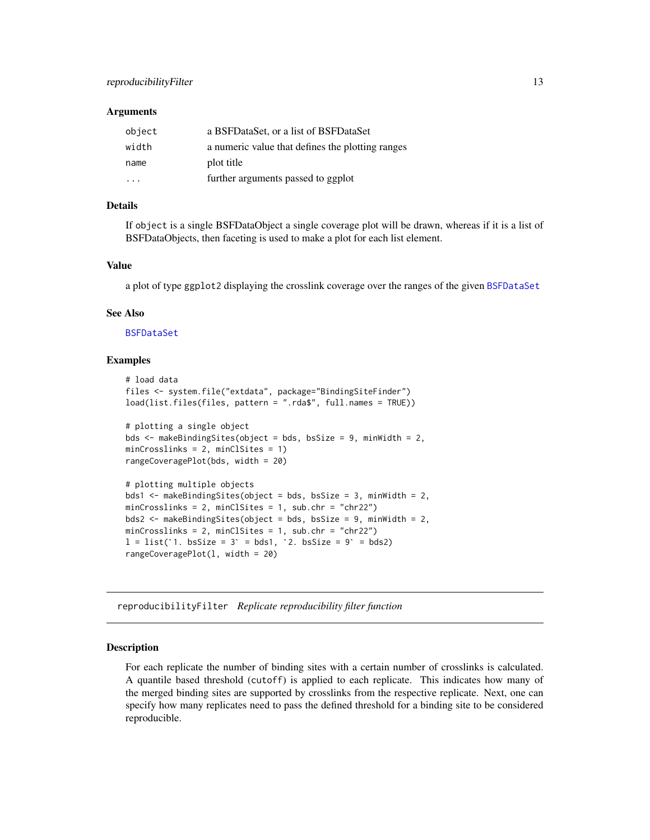#### <span id="page-12-0"></span>**Arguments**

| object | a BSFDataSet, or a list of BSFDataSet            |
|--------|--------------------------------------------------|
| width  | a numeric value that defines the plotting ranges |
| name   | plot title                                       |
| .      | further arguments passed to ggplot               |

# Details

If object is a single BSFDataObject a single coverage plot will be drawn, whereas if it is a list of BSFDataObjects, then faceting is used to make a plot for each list element.

#### Value

a plot of type ggplot2 displaying the crosslink coverage over the ranges of the given [BSFDataSet](#page-2-1)

#### See Also

[BSFDataSet](#page-2-1)

#### Examples

```
# load data
files <- system.file("extdata", package="BindingSiteFinder")
load(list.files(files, pattern = ".rda$", full.names = TRUE))
# plotting a single object
bds <- makeBindingSites(object = bds, bsSize = 9, minWidth = 2,
minCrosslinks = 2, minClSites = 1)
rangeCoveragePlot(bds, width = 20)
# plotting multiple objects
bds1 <- makeBindingSites(object = bds, bsSize = 3, minWidth = 2,
minCrosslinks = 2, minClSites = 1, sub.chr = "chr22")
bds2 <- makeBindingSites(object = bds, bsSize = 9, minWidth = 2,
minCrosslinks = 2, minClSites = 1, sub.chr = "chr22")
l = list('1. bsSize = 3' = bds1, '2. bsSize = 9' = bds2)rangeCoveragePlot(l, width = 20)
```
<span id="page-12-1"></span>reproducibilityFilter *Replicate reproducibility filter function*

## **Description**

For each replicate the number of binding sites with a certain number of crosslinks is calculated. A quantile based threshold (cutoff) is applied to each replicate. This indicates how many of the merged binding sites are supported by crosslinks from the respective replicate. Next, one can specify how many replicates need to pass the defined threshold for a binding site to be considered reproducible.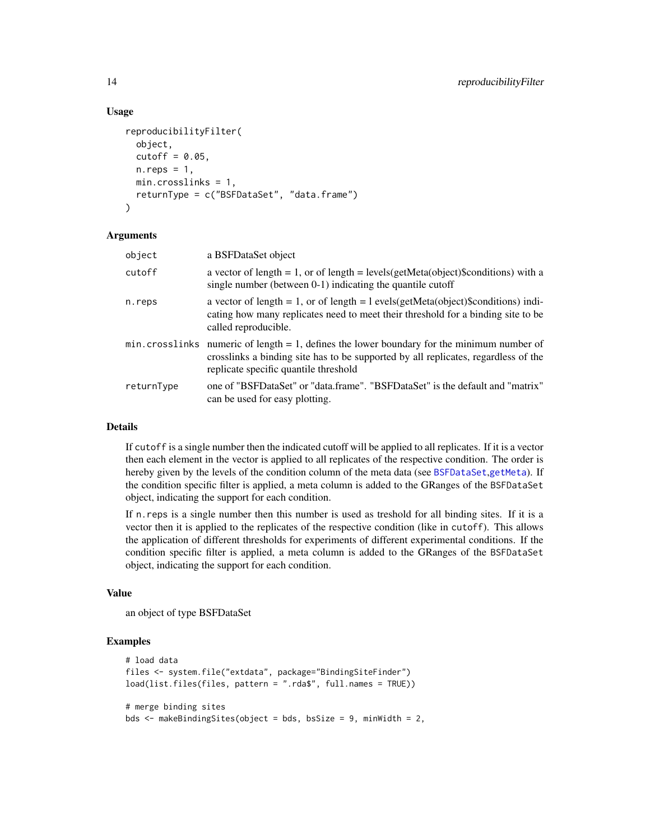#### Usage

```
reproducibilityFilter(
 object,
  cutoff = 0.05,n.reps = 1,
 min.crosslinks = 1,
 returnType = c("BSFDataSet", "data.frame")
\lambda
```
#### **Arguments**

| object     | a BSFDataSet object                                                                                                                                                                                                         |
|------------|-----------------------------------------------------------------------------------------------------------------------------------------------------------------------------------------------------------------------------|
| cutoff     | a vector of length = 1, or of length = levels(getMeta(object)\$conditions) with a<br>single number (between 0-1) indicating the quantile cutoff                                                                             |
| n.reps     | a vector of length = 1, or of length = $l$ evels(getMeta(object)\$conditions) indi-<br>cating how many replicates need to meet their threshold for a binding site to be<br>called reproducible.                             |
|            | $min.crosslinks$ numeric of length = 1, defines the lower boundary for the minimum number of<br>crosslinks a binding site has to be supported by all replicates, regardless of the<br>replicate specific quantile threshold |
| returnType | one of "BSFDataSet" or "data.frame". "BSFDataSet" is the default and "matrix"<br>can be used for easy plotting.                                                                                                             |

# Details

If cutoff is a single number then the indicated cutoff will be applied to all replicates. If it is a vector then each element in the vector is applied to all replicates of the respective condition. The order is hereby given by the levels of the condition column of the meta data (see [BSFDataSet](#page-2-1),[getMeta](#page-5-1)). If the condition specific filter is applied, a meta column is added to the GRanges of the BSFDataSet object, indicating the support for each condition.

If n.reps is a single number then this number is used as treshold for all binding sites. If it is a vector then it is applied to the replicates of the respective condition (like in cutoff). This allows the application of different thresholds for experiments of different experimental conditions. If the condition specific filter is applied, a meta column is added to the GRanges of the BSFDataSet object, indicating the support for each condition.

## Value

an object of type BSFDataSet

#### Examples

```
# load data
files <- system.file("extdata", package="BindingSiteFinder")
load(list.files(files, pattern = ".rda$", full.names = TRUE))
# merge binding sites
bds <- makeBindingSites(object = bds, bsSize = 9, minWidth = 2,
```
<span id="page-13-0"></span>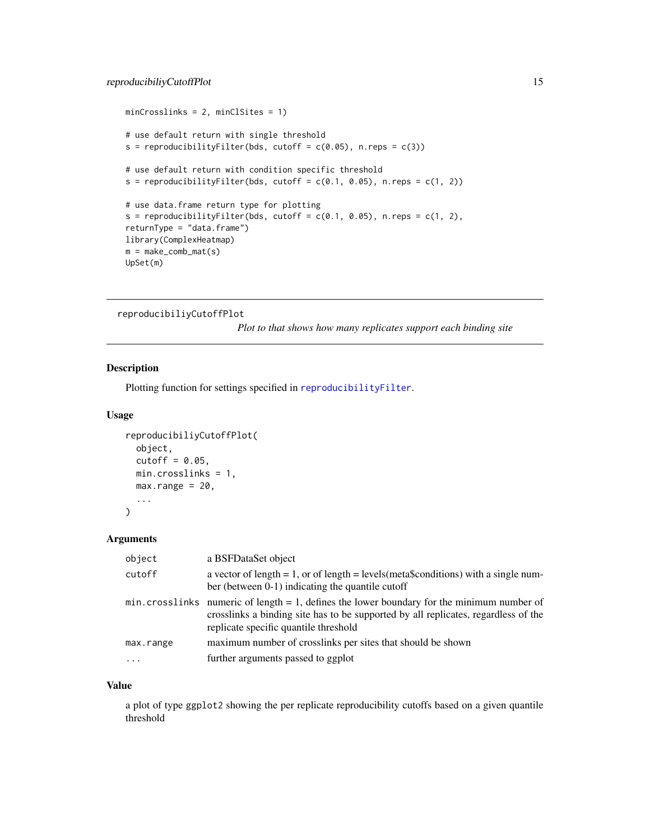```
minCrosslinks = 2, minClSites = 1)
# use default return with single threshold
s = reproducibilityFilter(bds, cutoff = c(0.05), n.reps = c(3))
# use default return with condition specific threshold
s = reproducibilityFilter(bds, cutoff = c(0.1, 0.05), n.reps = c(1, 2))
# use data.frame return type for plotting
s = reproducibilityFilter(bds, cutoff = c(0.1, 0.05), n.reps = c(1, 2),
returnType = "data.frame")
library(ComplexHeatmap)
m = make\_comb\_mat(s)UpSet(m)
```

```
reproducibiliyCutoffPlot
```
*Plot to that shows how many replicates support each binding site*

# Description

Plotting function for settings specified in [reproducibilityFilter](#page-12-1).

# Usage

```
reproducibiliyCutoffPlot(
 object,
 cutoff = 0.05,
 min.crosslinks = 1,
 max.random = 20,
  ...
)
```
#### Arguments

| a BSFDataSet object                                                                                                                                                                                                          |
|------------------------------------------------------------------------------------------------------------------------------------------------------------------------------------------------------------------------------|
| a vector of length = 1, or of length = levels (meta\$conditions) with a single num-<br>ber (between $0-1$ ) indicating the quantile cutoff                                                                                   |
| $min. crosslinks$ numeric of length = 1, defines the lower boundary for the minimum number of<br>crosslinks a binding site has to be supported by all replicates, regardless of the<br>replicate specific quantile threshold |
| maximum number of crosslinks per sites that should be shown                                                                                                                                                                  |
| further arguments passed to ggplot                                                                                                                                                                                           |
|                                                                                                                                                                                                                              |

## Value

a plot of type ggplot2 showing the per replicate reproducibility cutoffs based on a given quantile threshold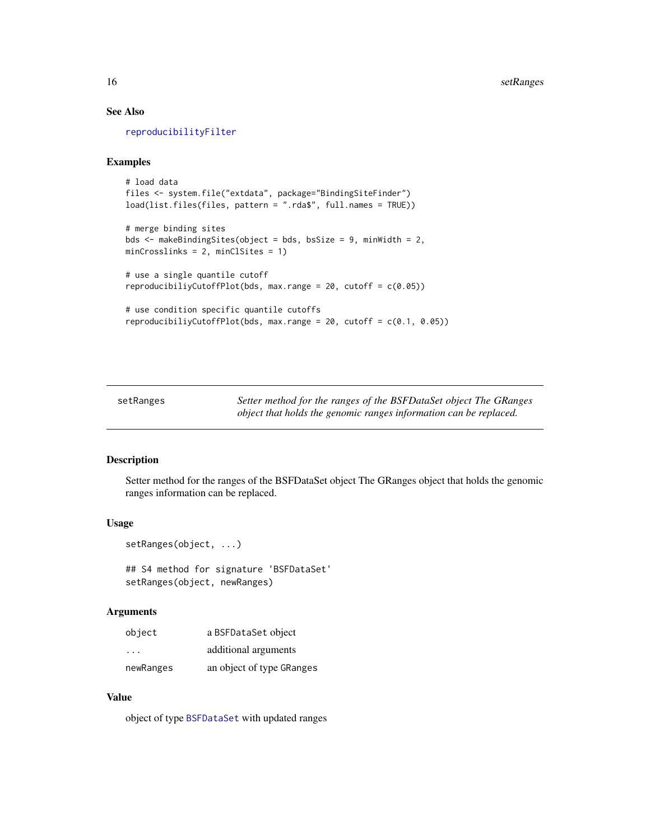# See Also

[reproducibilityFilter](#page-12-1)

#### Examples

```
# load data
files <- system.file("extdata", package="BindingSiteFinder")
load(list.files(files, pattern = ".rda$", full.names = TRUE))
# merge binding sites
bds <- makeBindingSites(object = bds, bsSize = 9, minWidth = 2,
minCrosslinks = 2, minClSites = 1)
# use a single quantile cutoff
reproducibiliyCutoffPlot(bds, max.range = 20, cutoff = c(0.05))
# use condition specific quantile cutoffs
reproducibiliyCutoffPlot(bds, max.range = 20, cutoff = c(0.1, 0.05))
```
setRanges *Setter method for the ranges of the BSFDataSet object The GRanges object that holds the genomic ranges information can be replaced.*

# Description

Setter method for the ranges of the BSFDataSet object The GRanges object that holds the genomic ranges information can be replaced.

#### Usage

```
setRanges(object, ...)
## S4 method for signature 'BSFDataSet'
setRanges(object, newRanges)
```
#### Arguments

| object                  | a BSFDataSet object       |
|-------------------------|---------------------------|
| $\cdot$ $\cdot$ $\cdot$ | additional arguments      |
| newRanges               | an object of type GRanges |

#### Value

object of type [BSFDataSet](#page-2-1) with updated ranges

<span id="page-15-0"></span>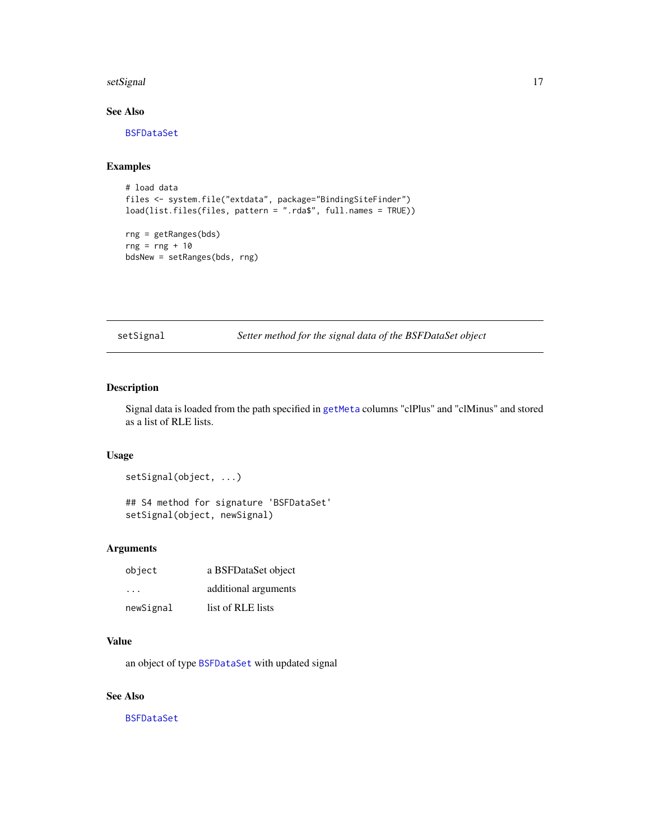#### <span id="page-16-0"></span>setSignal and the setSignal and the setSignal and the setSignal and the setSignal and the setSignal and the setSignal and the setSignal and the setSignal and the setSignal and the setSignal and the setSignal and the setSig

# See Also

[BSFDataSet](#page-2-1)

# Examples

```
# load data
files <- system.file("extdata", package="BindingSiteFinder")
load(list.files(files, pattern = ".rda$", full.names = TRUE))
rng = getRanges(bds)
rng = rng + 10bdsNew = setRanges(bds, rng)
```
setSignal *Setter method for the signal data of the BSFDataSet object*

# Description

Signal data is loaded from the path specified in [getMeta](#page-5-1) columns "clPlus" and "clMinus" and stored as a list of RLE lists.

# Usage

setSignal(object, ...)

## S4 method for signature 'BSFDataSet' setSignal(object, newSignal)

# Arguments

| object    | a BSFDataSet object  |
|-----------|----------------------|
| .         | additional arguments |
| newSignal | list of RLE lists    |

# Value

an object of type [BSFDataSet](#page-2-1) with updated signal

# See Also

[BSFDataSet](#page-2-1)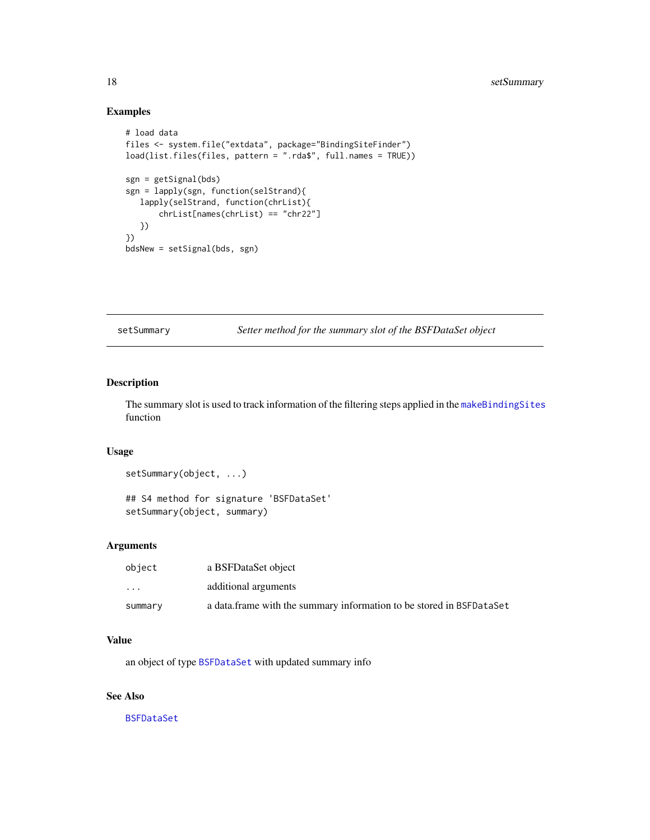# Examples

```
# load data
files <- system.file("extdata", package="BindingSiteFinder")
load(list.files(files, pattern = ".rda$", full.names = TRUE))
sgn = getSignal(bds)
sgn = lapply(sgn, function(selStrand){
  lapply(selStrand, function(chrList){
       chrList[names(chrList) == "chr22"]
  })
})
bdsNew = setSignal(bds, sgn)
```
setSummary *Setter method for the summary slot of the BSFDataSet object*

# Description

The summary slot is used to track information of the filtering steps applied in the [makeBindingSites](#page-8-1) function

# Usage

```
setSummary(object, ...)
```

```
## S4 method for signature 'BSFDataSet'
setSummary(object, summary)
```
#### Arguments

| object  | a BSFDataSet object                                                   |
|---------|-----------------------------------------------------------------------|
| $\cdot$ | additional arguments                                                  |
| summary | a data. frame with the summary information to be stored in BSFDataSet |

#### Value

an object of type [BSFDataSet](#page-2-1) with updated summary info

# See Also

[BSFDataSet](#page-2-1)

<span id="page-17-0"></span>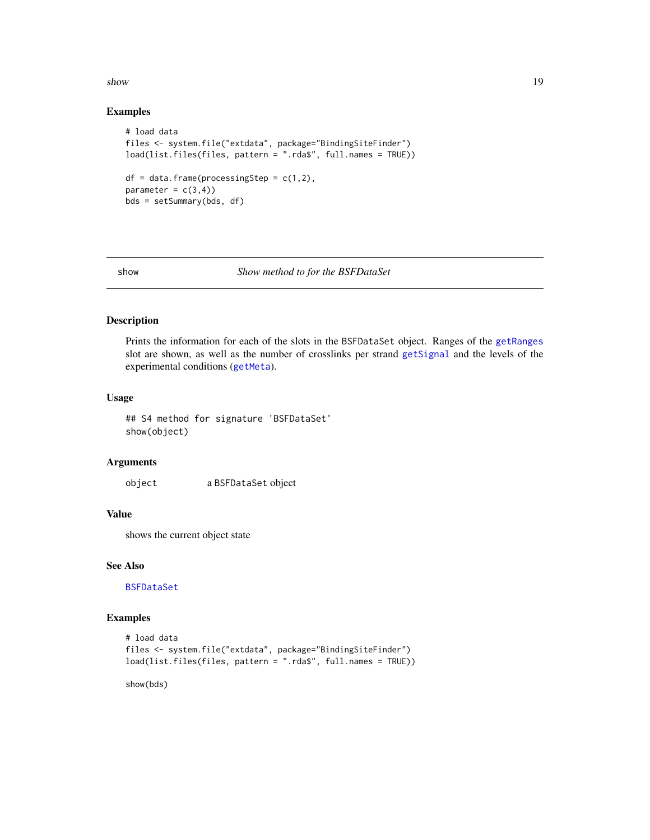<span id="page-18-0"></span> $s$ how  $19$ 

#### Examples

```
# load data
files <- system.file("extdata", package="BindingSiteFinder")
load(list.files(files, pattern = ".rda$", full.names = TRUE))
df = data frame(processingStep = c(1,2),parameter = c(3,4))
bds = setSummary(bds, df)
```
#### show *Show method to for the BSFDataSet*

# Description

Prints the information for each of the slots in the BSFDataSet object. Ranges of the [getRanges](#page-6-1) slot are shown, as well as the number of crosslinks per strand [getSignal](#page-7-1) and the levels of the experimental conditions ([getMeta](#page-5-1)).

#### Usage

## S4 method for signature 'BSFDataSet' show(object)

#### Arguments

object a BSFDataSet object

# Value

shows the current object state

### See Also

[BSFDataSet](#page-2-1)

# Examples

```
# load data
files <- system.file("extdata", package="BindingSiteFinder")
load(list.files(files, pattern = ".rda$", full.names = TRUE))
```
show(bds)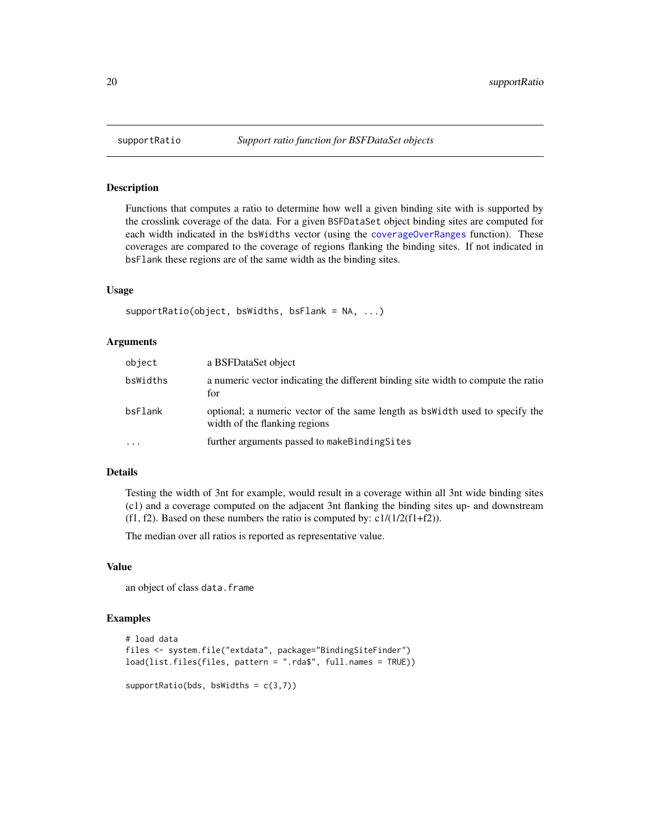### Description

Functions that computes a ratio to determine how well a given binding site with is supported by the crosslink coverage of the data. For a given BSFDataSet object binding sites are computed for each width indicated in the bsWidths vector (using the [coverageOverRanges](#page-4-1) function). These coverages are compared to the coverage of regions flanking the binding sites. If not indicated in bsFlank these regions are of the same width as the binding sites.

#### Usage

```
supportRatio(object, bsWidths, bsFlank = NA, ...)
```
#### Arguments

| object                  | a BSFDataSet object                                                                                            |
|-------------------------|----------------------------------------------------------------------------------------------------------------|
| bsWidths                | a numeric vector indicating the different binding site width to compute the ratio<br>for                       |
| bsFlank                 | optional; a numeric vector of the same length as bs width used to specify the<br>width of the flanking regions |
| $\cdot$ $\cdot$ $\cdot$ | further arguments passed to make Binding Sites                                                                 |

# Details

Testing the width of 3nt for example, would result in a coverage within all 3nt wide binding sites (c1) and a coverage computed on the adjacent 3nt flanking the binding sites up- and downstream (f1, f2). Based on these numbers the ratio is computed by:  $c1/(1/2(f1+f2))$ .

The median over all ratios is reported as representative value.

## Value

an object of class data.frame

#### Examples

```
# load data
files <- system.file("extdata", package="BindingSiteFinder")
load(list.files(files, pattern = ".rda$", full.names = TRUE))
supportRatio(bds, bsWidths = c(3,7))
```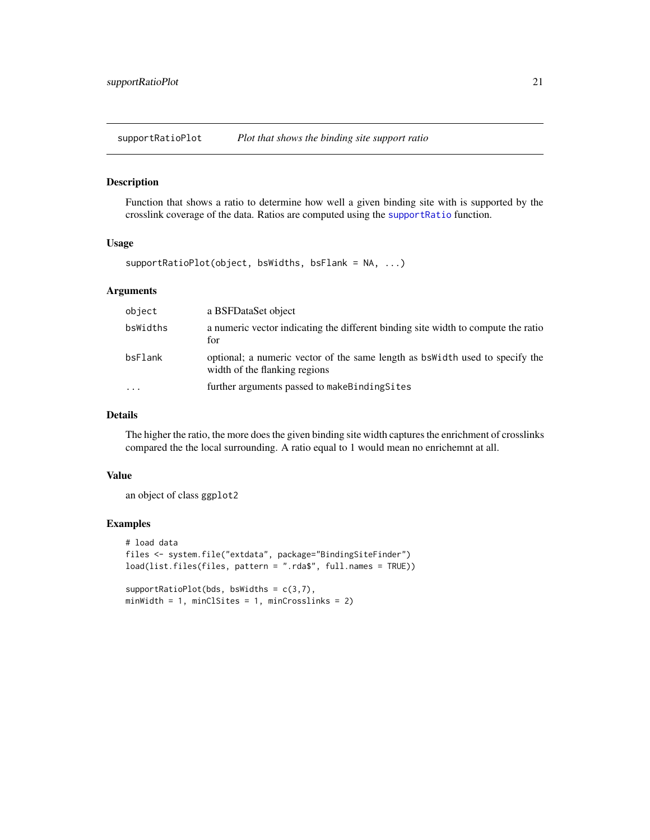<span id="page-20-0"></span>supportRatioPlot *Plot that shows the binding site support ratio*

#### Description

Function that shows a ratio to determine how well a given binding site with is supported by the crosslink coverage of the data. Ratios are computed using the [supportRatio](#page-19-1) function.

#### Usage

supportRatioPlot(object, bsWidths, bsFlank = NA, ...)

### Arguments

| object                  | a BSFDataSet object                                                                                            |
|-------------------------|----------------------------------------------------------------------------------------------------------------|
| bsWidths                | a numeric vector indicating the different binding site width to compute the ratio<br>for                       |
| bsFlank                 | optional; a numeric vector of the same length as bs width used to specify the<br>width of the flanking regions |
| $\cdot$ $\cdot$ $\cdot$ | further arguments passed to makeBindingSites                                                                   |

# Details

The higher the ratio, the more does the given binding site width captures the enrichment of crosslinks compared the the local surrounding. A ratio equal to 1 would mean no enrichemnt at all.

#### Value

an object of class ggplot2

#### Examples

```
# load data
files <- system.file("extdata", package="BindingSiteFinder")
load(list.files(files, pattern = ".rda$", full.names = TRUE))
supportRatioPlot(bds, bsWidths = c(3,7),
```
minWidth = 1, minClSites = 1, minCrosslinks = 2)